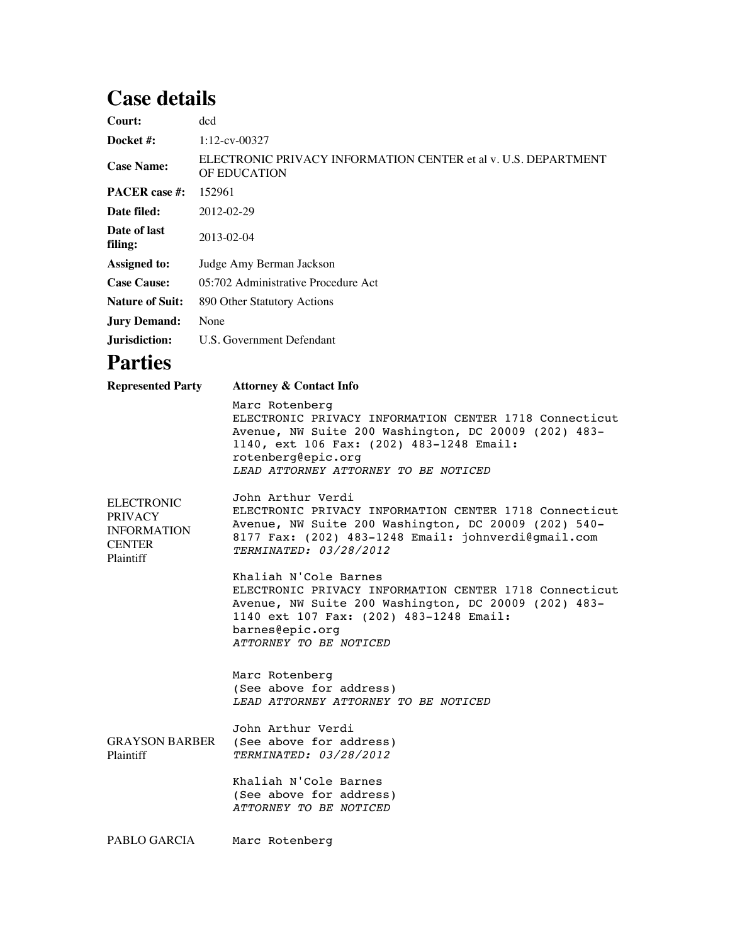## **Case details**

| Court:                  | ded                                                                            |
|-------------------------|--------------------------------------------------------------------------------|
| Docket #:               | $1:12$ -cv-00327                                                               |
| <b>Case Name:</b>       | ELECTRONIC PRIVACY INFORMATION CENTER et al v. U.S. DEPARTMENT<br>OF EDUCATION |
| <b>PACER</b> case #:    | 152961                                                                         |
| Date filed:             | 2012-02-29                                                                     |
| Date of last<br>filing: | 2013-02-04                                                                     |
| <b>Assigned to:</b>     | Judge Amy Berman Jackson                                                       |
| <b>Case Cause:</b>      | 05:702 Administrative Procedure Act                                            |
| <b>Nature of Suit:</b>  | 890 Other Statutory Actions                                                    |
| <b>Jury Demand:</b>     | None                                                                           |
| Jurisdiction:           | U.S. Government Defendant                                                      |
|                         |                                                                                |

## **Parties**

| <b>Represented Party</b>                                                                | <b>Attorney &amp; Contact Info</b>                                                                                                                                                                                                         |
|-----------------------------------------------------------------------------------------|--------------------------------------------------------------------------------------------------------------------------------------------------------------------------------------------------------------------------------------------|
|                                                                                         | Marc Rotenberg<br>ELECTRONIC PRIVACY INFORMATION CENTER 1718 Connecticut<br>Avenue, NW Suite 200 Washington, DC 20009 (202) 483-<br>1140, ext 106 Fax: (202) 483-1248 Email:<br>rotenberg@epic.org<br>LEAD ATTORNEY ATTORNEY TO BE NOTICED |
| <b>ELECTRONIC</b><br><b>PRIVACY</b><br><b>INFORMATION</b><br><b>CENTER</b><br>Plaintiff | John Arthur Verdi<br>ELECTRONIC PRIVACY INFORMATION CENTER 1718 Connecticut<br>Avenue, NW Suite 200 Washington, DC 20009 (202) 540-<br>8177 Fax: (202) 483-1248 Email: johnverdi@qmail.com<br>TERMINATED: 03/28/2012                       |
|                                                                                         | Khaliah N'Cole Barnes<br>ELECTRONIC PRIVACY INFORMATION CENTER 1718 Connecticut<br>Avenue, NW Suite 200 Washington, DC 20009 (202) 483-<br>1140 ext 107 Fax: (202) 483-1248 Email:<br>barnes@epic.org<br>ATTORNEY TO BE NOTICED            |
|                                                                                         | Marc Rotenberg<br>(See above for address)<br>LEAD ATTORNEY ATTORNEY TO BE NOTICED                                                                                                                                                          |
| <b>GRAYSON BARBER</b><br>Plaintiff                                                      | John Arthur Verdi<br>(See above for address)<br>TERMINATED: 03/28/2012                                                                                                                                                                     |
|                                                                                         | Khaliah N'Cole Barnes<br>(See above for address)<br>ATTORNEY TO BE NOTICED                                                                                                                                                                 |
| PABLO GARCIA                                                                            | Marc Rotenberg                                                                                                                                                                                                                             |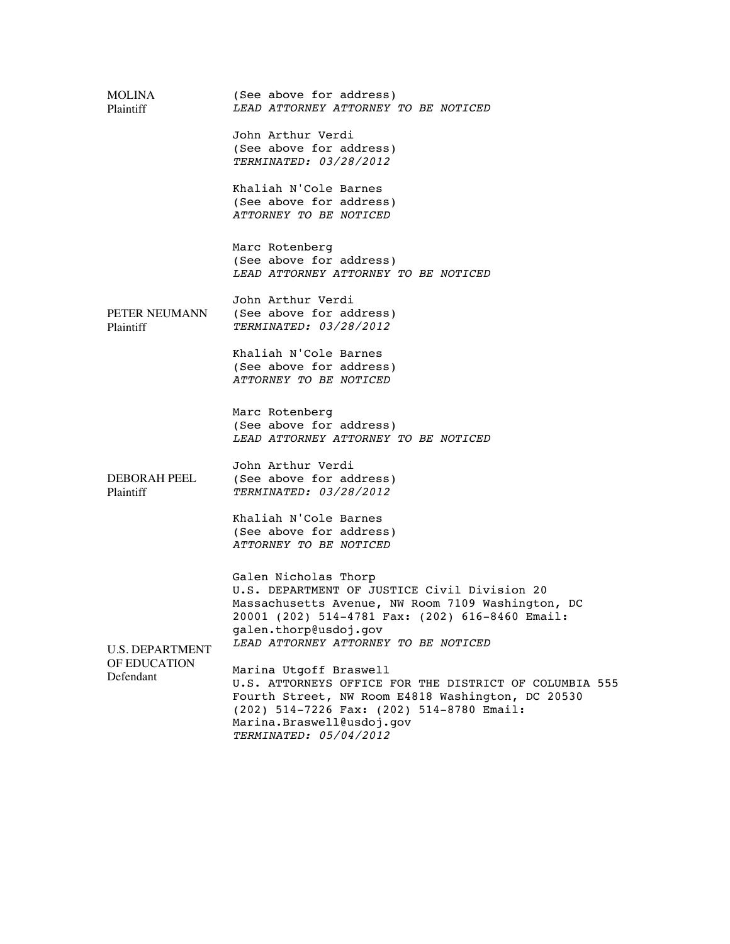| MOLINA<br>Plaintiff              | (See above for address)<br>LEAD ATTORNEY ATTORNEY TO BE NOTICED                                                                                                                                                                               |
|----------------------------------|-----------------------------------------------------------------------------------------------------------------------------------------------------------------------------------------------------------------------------------------------|
|                                  | John Arthur Verdi<br>(See above for address)<br>TERMINATED: 03/28/2012                                                                                                                                                                        |
|                                  | Khaliah N'Cole Barnes<br>(See above for address)<br>ATTORNEY TO BE NOTICED                                                                                                                                                                    |
|                                  | Marc Rotenberg<br>(See above for address)<br>LEAD ATTORNEY ATTORNEY TO BE NOTICED                                                                                                                                                             |
| PETER NEUMANN<br>Plaintiff       | John Arthur Verdi<br>(See above for address)<br>TERMINATED: 03/28/2012                                                                                                                                                                        |
|                                  | Khaliah N'Cole Barnes<br>(See above for address)<br><i>ATTORNEY TO BE NOTICED</i>                                                                                                                                                             |
|                                  | Marc Rotenberg<br>(See above for address)<br>LEAD ATTORNEY ATTORNEY TO BE NOTICED                                                                                                                                                             |
| <b>DEBORAH PEEL</b><br>Plaintiff | John Arthur Verdi<br>(See above for address)<br>TERMINATED: 03/28/2012                                                                                                                                                                        |
|                                  | Khaliah N'Cole Barnes<br>(See above for address)<br>ATTORNEY TO BE NOTICED                                                                                                                                                                    |
| <b>U.S. DEPARTMENT</b>           | Galen Nicholas Thorp<br>U.S. DEPARTMENT OF JUSTICE Civil Division 20<br>Massachusetts Avenue, NW Room 7109 Washington, DC<br>20001 (202) 514-4781 Fax: (202) 616-8460 Email:<br>galen.thorp@usdoj.gov<br>LEAD ATTORNEY ATTORNEY TO BE NOTICED |
| OF EDUCATION<br>Defendant        | Marina Utgoff Braswell<br>U.S. ATTORNEYS OFFICE FOR THE DISTRICT OF COLUMBIA 555<br>Fourth Street, NW Room E4818 Washington, DC 20530<br>(202) 514-7226 Fax: (202) 514-8780 Email:<br>Marina.Braswell@usdoj.gov<br>TERMINATED: 05/04/2012     |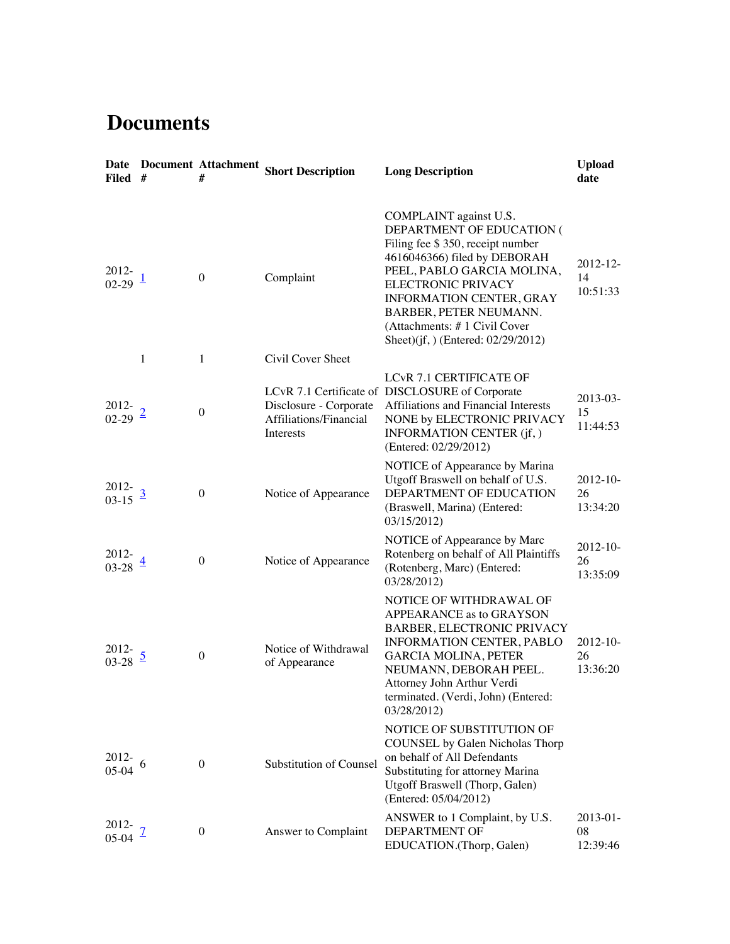## **Documents**

| Filed #                        |   | #                | Date Document Attachment Short Description                    | <b>Long Description</b>                                                                                                                                                                                                                                                                                        | <b>Upload</b><br>date         |
|--------------------------------|---|------------------|---------------------------------------------------------------|----------------------------------------------------------------------------------------------------------------------------------------------------------------------------------------------------------------------------------------------------------------------------------------------------------------|-------------------------------|
| 2012-<br>$02-29$ $\frac{1}{2}$ |   | $\mathbf{0}$     | Complaint                                                     | COMPLAINT against U.S.<br>DEPARTMENT OF EDUCATION (<br>Filing fee \$350, receipt number<br>4616046366) filed by DEBORAH<br>PEEL, PABLO GARCIA MOLINA,<br>ELECTRONIC PRIVACY<br><b>INFORMATION CENTER, GRAY</b><br>BARBER, PETER NEUMANN.<br>(Attachments: #1 Civil Cover<br>Sheet)(jf, ) (Entered: 02/29/2012) | $2012 - 12$<br>14<br>10:51:33 |
|                                | 1 | 1                | Civil Cover Sheet                                             |                                                                                                                                                                                                                                                                                                                |                               |
| 2012-<br>$02 - 29$             |   | $\boldsymbol{0}$ | Disclosure - Corporate<br>Affiliations/Financial<br>Interests | <b>LCvR 7.1 CERTIFICATE OF</b><br>LCvR 7.1 Certificate of DISCLOSURE of Corporate<br>Affiliations and Financial Interests<br>NONE by ELECTRONIC PRIVACY<br>INFORMATION CENTER (jf, )<br>(Entered: 02/29/2012)                                                                                                  | $2013 - 03$<br>15<br>11:44:53 |
| 2012-<br>$03-15 \frac{3}{2}$   |   | $\boldsymbol{0}$ | Notice of Appearance                                          | NOTICE of Appearance by Marina<br>Utgoff Braswell on behalf of U.S.<br>DEPARTMENT OF EDUCATION<br>(Braswell, Marina) (Entered:<br>03/15/2012)                                                                                                                                                                  | $2012 - 10$<br>26<br>13:34:20 |
| 2012-<br>$03 - 28$             |   | $\boldsymbol{0}$ | Notice of Appearance                                          | NOTICE of Appearance by Marc<br>Rotenberg on behalf of All Plaintiffs<br>(Rotenberg, Marc) (Entered:<br>03/28/2012)                                                                                                                                                                                            | $2012 - 10$<br>26<br>13:35:09 |
| 2012-<br>$03 - 28$             |   | $\boldsymbol{0}$ | Notice of Withdrawal<br>of Appearance                         | NOTICE OF WITHDRAWAL OF<br>APPEARANCE as to GRAYSON<br>BARBER, ELECTRONIC PRIVACY<br><b>INFORMATION CENTER, PABLO</b><br><b>GARCIA MOLINA, PETER</b><br>NEUMANN, DEBORAH PEEL.<br>Attorney John Arthur Verdi<br>terminated. (Verdi, John) (Entered:<br>03/28/2012)                                             | $2012 - 10$<br>26<br>13:36:20 |
| 2012-<br>$05-04$ 6             |   | $\mathbf{0}$     | Substitution of Counsel                                       | NOTICE OF SUBSTITUTION OF<br><b>COUNSEL</b> by Galen Nicholas Thorp<br>on behalf of All Defendants<br>Substituting for attorney Marina<br>Utgoff Braswell (Thorp, Galen)<br>(Entered: 05/04/2012)                                                                                                              |                               |
| $2012 -$<br>$05-04$            |   | $\mathbf{0}$     | Answer to Complaint                                           | ANSWER to 1 Complaint, by U.S.<br><b>DEPARTMENT OF</b><br>EDUCATION.(Thorp, Galen)                                                                                                                                                                                                                             | $2013 - 01$<br>08<br>12:39:46 |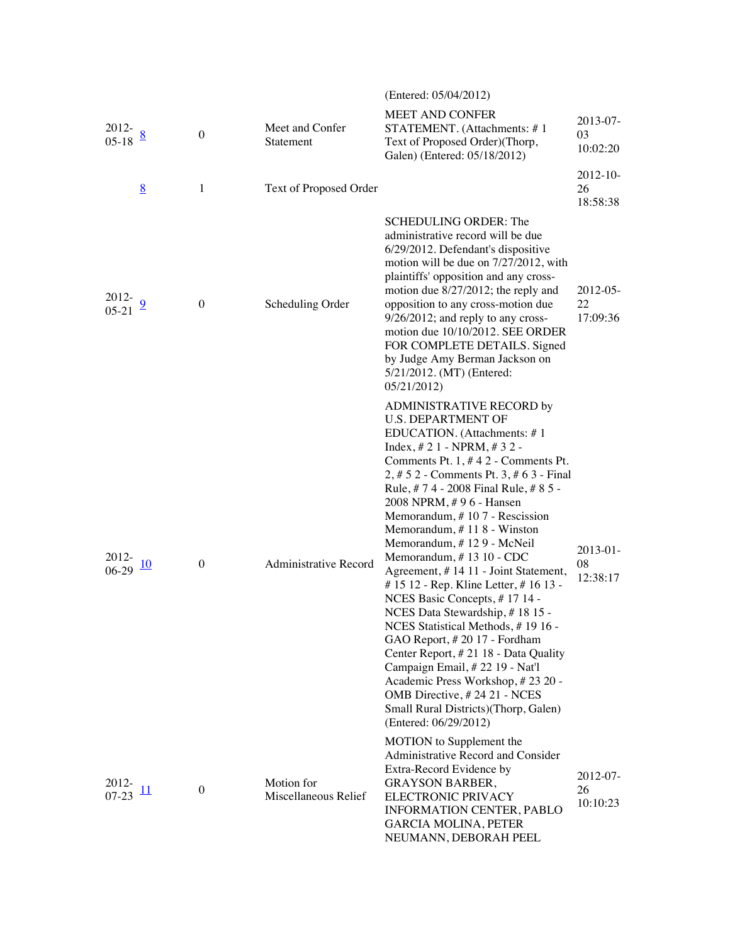|                    |                  |                  |                                    | (Entered: 05/04/2012)                                                                                                                                                                                                                                                                                                                                                                                                                                                                                                                                                                                                                                                                                                                                                                                                                   |                               |
|--------------------|------------------|------------------|------------------------------------|-----------------------------------------------------------------------------------------------------------------------------------------------------------------------------------------------------------------------------------------------------------------------------------------------------------------------------------------------------------------------------------------------------------------------------------------------------------------------------------------------------------------------------------------------------------------------------------------------------------------------------------------------------------------------------------------------------------------------------------------------------------------------------------------------------------------------------------------|-------------------------------|
| 2012-<br>$05-18$   |                  | $\boldsymbol{0}$ | Meet and Confer<br>Statement       | <b>MEET AND CONFER</b><br>STATEMENT. (Attachments: #1<br>Text of Proposed Order)(Thorp,<br>Galen) (Entered: 05/18/2012)                                                                                                                                                                                                                                                                                                                                                                                                                                                                                                                                                                                                                                                                                                                 | $2013 - 07$<br>03<br>10:02:20 |
|                    | 8                | 1                | Text of Proposed Order             |                                                                                                                                                                                                                                                                                                                                                                                                                                                                                                                                                                                                                                                                                                                                                                                                                                         | $2012 - 10$<br>26<br>18:58:38 |
| 2012-<br>$05 - 21$ |                  | $\mathbf{0}$     | Scheduling Order                   | <b>SCHEDULING ORDER: The</b><br>administrative record will be due<br>6/29/2012. Defendant's dispositive<br>motion will be due on 7/27/2012, with<br>plaintiffs' opposition and any cross-<br>motion due 8/27/2012; the reply and<br>opposition to any cross-motion due<br>$9/26/2012$ ; and reply to any cross-<br>motion due 10/10/2012. SEE ORDER<br>FOR COMPLETE DETAILS. Signed<br>by Judge Amy Berman Jackson on<br>5/21/2012. (MT) (Entered:<br>05/21/2012)                                                                                                                                                                                                                                                                                                                                                                       | 2012-05-<br>22<br>17:09:36    |
| 2012-<br>$06-29$   | 10               | $\boldsymbol{0}$ | Administrative Record              | ADMINISTRATIVE RECORD by<br><b>U.S. DEPARTMENT OF</b><br>EDUCATION. (Attachments: #1<br>$Index, #21 - NPRM, #32 -$<br>Comments Pt. 1, #42 - Comments Pt.<br>$2, # 52$ - Comments Pt. 3, # 63 - Final<br>Rule, #74 - 2008 Final Rule, #85 -<br>2008 NPRM, #96 - Hansen<br>Memorandum, #107 - Rescission<br>Memorandum, #118 - Winston<br>Memorandum, #129 - McNeil<br>Memorandum, #13 10 - CDC<br>Agreement, #14 11 - Joint Statement,<br># 15 12 - Rep. Kline Letter, # 16 13 -<br>NCES Basic Concepts, #17 14 -<br>NCES Data Stewardship, #1815 -<br>NCES Statistical Methods, #1916 -<br>GAO Report, #2017 - Fordham<br>Center Report, #21 18 - Data Quality<br>Campaign Email, #22 19 - Nat'l<br>Academic Press Workshop, #23 20 -<br>OMB Directive, #24 21 - NCES<br>Small Rural Districts) (Thorp, Galen)<br>(Entered: 06/29/2012) | $2013 - 01$<br>08<br>12:38:17 |
| 2012-<br>$07 - 23$ | $\underline{11}$ | $\mathbf{0}$     | Motion for<br>Miscellaneous Relief | MOTION to Supplement the<br>Administrative Record and Consider<br>Extra-Record Evidence by<br><b>GRAYSON BARBER,</b><br>ELECTRONIC PRIVACY<br><b>INFORMATION CENTER, PABLO</b><br><b>GARCIA MOLINA, PETER</b><br>NEUMANN, DEBORAH PEEL                                                                                                                                                                                                                                                                                                                                                                                                                                                                                                                                                                                                  | 2012-07-<br>26<br>10:10:23    |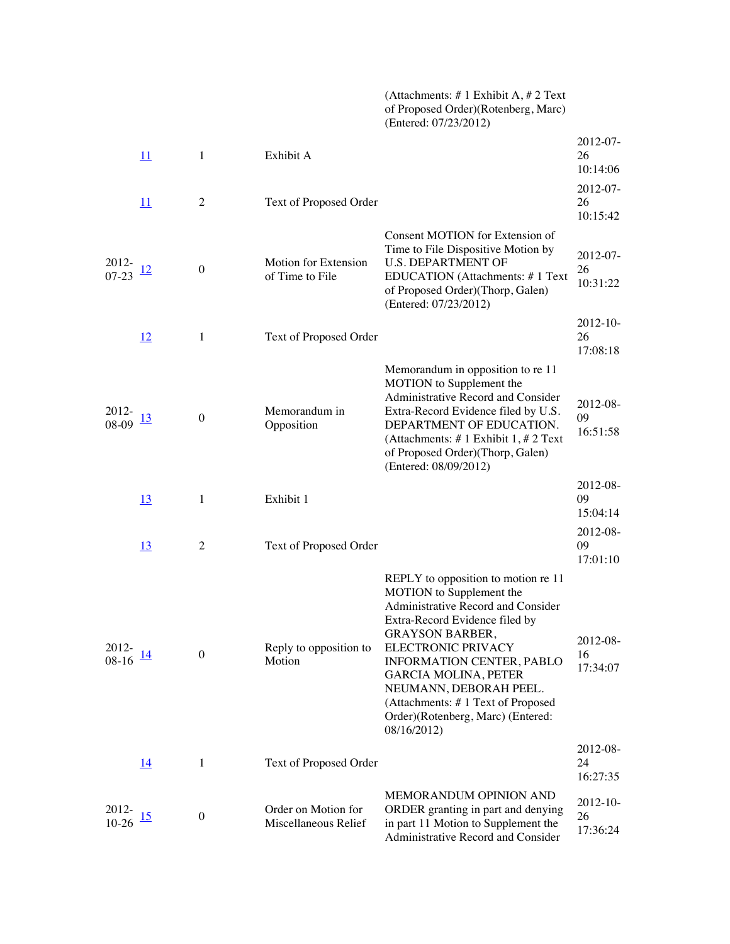(Attachments: # 1 Exhibit A, # 2 Text of Proposed Order)(Rotenberg, Marc) (Entered: 07/23/2012)

|                   | <u> 11</u><br>11 | 1<br>$\overline{2}$ | Exhibit A                                   |                                                                                                                                                                                                                                                                                                                                                                               | 2012-07-<br>26<br>10:14:06<br>2012-07-<br>26 |
|-------------------|------------------|---------------------|---------------------------------------------|-------------------------------------------------------------------------------------------------------------------------------------------------------------------------------------------------------------------------------------------------------------------------------------------------------------------------------------------------------------------------------|----------------------------------------------|
|                   |                  |                     | Text of Proposed Order                      |                                                                                                                                                                                                                                                                                                                                                                               | 10:15:42                                     |
| 2012-<br>$07-23$  | <u>12</u>        | $\boldsymbol{0}$    | Motion for Extension<br>of Time to File     | Consent MOTION for Extension of<br>Time to File Dispositive Motion by<br><b>U.S. DEPARTMENT OF</b><br><b>EDUCATION</b> (Attachments: #1 Text<br>of Proposed Order)(Thorp, Galen)<br>(Entered: 07/23/2012)                                                                                                                                                                     | 2012-07-<br>26<br>10:31:22                   |
|                   | 12               | 1                   | Text of Proposed Order                      |                                                                                                                                                                                                                                                                                                                                                                               | 2012-10-<br>26<br>17:08:18                   |
| $2012 -$<br>08-09 | 13               | $\boldsymbol{0}$    | Memorandum in<br>Opposition                 | Memorandum in opposition to re 11<br>MOTION to Supplement the<br>Administrative Record and Consider<br>Extra-Record Evidence filed by U.S.<br>DEPARTMENT OF EDUCATION.<br>(Attachments: $# 1$ Exhibit 1, $# 2$ Text<br>of Proposed Order)(Thorp, Galen)<br>(Entered: 08/09/2012)                                                                                              | 2012-08-<br>09<br>16:51:58                   |
|                   | <u>13</u>        | 1                   | Exhibit 1                                   |                                                                                                                                                                                                                                                                                                                                                                               | 2012-08-<br>09<br>15:04:14                   |
|                   | <u>13</u>        | $\overline{2}$      | Text of Proposed Order                      |                                                                                                                                                                                                                                                                                                                                                                               | 2012-08-<br>09<br>17:01:10                   |
| 2012-<br>$08-16$  | 14               | $\boldsymbol{0}$    | Reply to opposition to<br>Motion            | REPLY to opposition to motion re 11<br>MOTION to Supplement the<br>Administrative Record and Consider<br>Extra-Record Evidence filed by<br><b>GRAYSON BARBER,</b><br>ELECTRONIC PRIVACY<br><b>INFORMATION CENTER, PABLO</b><br><b>GARCIA MOLINA, PETER</b><br>NEUMANN, DEBORAH PEEL.<br>(Attachments: #1 Text of Proposed<br>Order)(Rotenberg, Marc) (Entered:<br>08/16/2012) | 2012-08-<br>16<br>17:34:07                   |
|                   | <u>14</u>        | $\mathbf{1}$        | Text of Proposed Order                      |                                                                                                                                                                                                                                                                                                                                                                               | 2012-08-<br>24<br>16:27:35                   |
| 2012-<br>$10-26$  | 15               | $\boldsymbol{0}$    | Order on Motion for<br>Miscellaneous Relief | MEMORANDUM OPINION AND<br>ORDER granting in part and denying<br>in part 11 Motion to Supplement the<br>Administrative Record and Consider                                                                                                                                                                                                                                     | 2012-10-<br>26<br>17:36:24                   |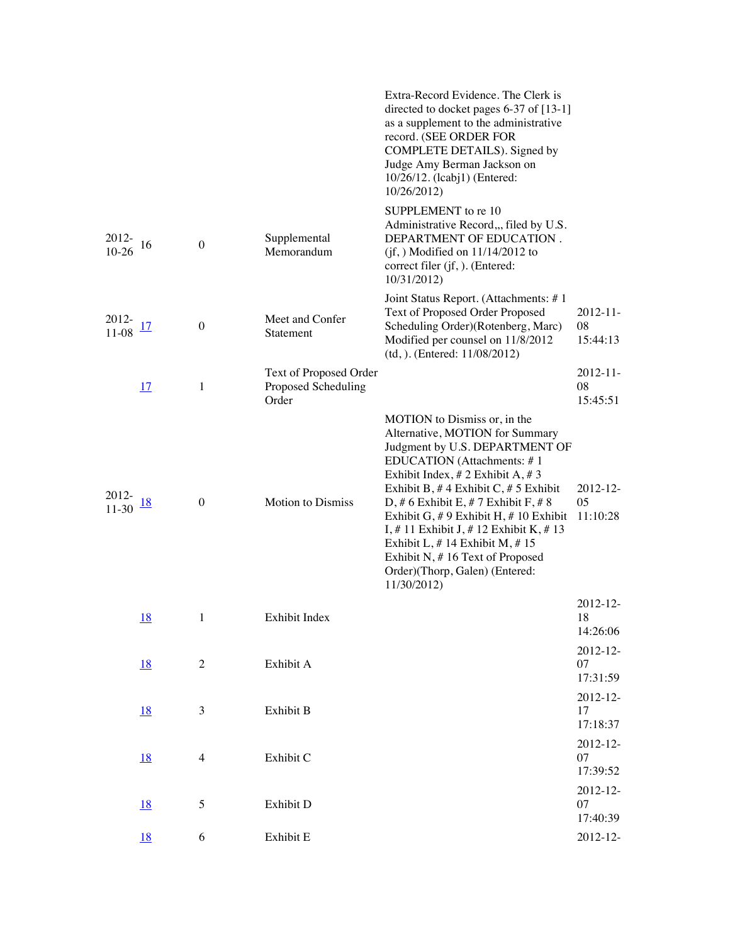|                  |            |                          |                                                        | Extra-Record Evidence. The Clerk is<br>directed to docket pages 6-37 of [13-1]<br>as a supplement to the administrative<br>record. (SEE ORDER FOR<br>COMPLETE DETAILS). Signed by<br>Judge Amy Berman Jackson on<br>10/26/12. (lcabj1) (Entered:<br>10/26/2012)                                                                                                                                                                                                         |                               |
|------------------|------------|--------------------------|--------------------------------------------------------|-------------------------------------------------------------------------------------------------------------------------------------------------------------------------------------------------------------------------------------------------------------------------------------------------------------------------------------------------------------------------------------------------------------------------------------------------------------------------|-------------------------------|
| 2012-<br>$10-26$ | 16         | $\boldsymbol{0}$         | Supplemental<br>Memorandum                             | SUPPLEMENT to re 10<br>Administrative Record,,, filed by U.S.<br>DEPARTMENT OF EDUCATION.<br>$(jf, )$ Modified on 11/14/2012 to<br>correct filer (jf, ). (Entered:<br>10/31/2012)                                                                                                                                                                                                                                                                                       |                               |
| 2012-<br>11-08   | <u>17</u>  | $\boldsymbol{0}$         | Meet and Confer<br>Statement                           | Joint Status Report. (Attachments: #1<br>Text of Proposed Order Proposed<br>Scheduling Order)(Rotenberg, Marc)<br>Modified per counsel on 11/8/2012<br>(td, ). (Entered: 11/08/2012)                                                                                                                                                                                                                                                                                    | 2012-11-<br>08<br>15:44:13    |
|                  | <u>17</u>  | 1                        | Text of Proposed Order<br>Proposed Scheduling<br>Order |                                                                                                                                                                                                                                                                                                                                                                                                                                                                         | $2012 - 11$<br>08<br>15:45:51 |
| 2012-<br>11-30   | <u> 18</u> | $\boldsymbol{0}$         | <b>Motion to Dismiss</b>                               | MOTION to Dismiss or, in the<br>Alternative, MOTION for Summary<br>Judgment by U.S. DEPARTMENT OF<br>EDUCATION (Attachments: #1<br>Exhibit Index, # 2 Exhibit A, # 3<br>Exhibit B, $#$ 4 Exhibit C, $#$ 5 Exhibit<br>D, # 6 Exhibit E, # 7 Exhibit F, # 8<br>Exhibit G, $# 9$ Exhibit H, $# 10$ Exhibit<br>I, # 11 Exhibit J, # 12 Exhibit K, # 13<br>Exhibit L, #14 Exhibit M, #15<br>Exhibit N, #16 Text of Proposed<br>Order)(Thorp, Galen) (Entered:<br>11/30/2012) | 2012-12-<br>05<br>11:10:28    |
|                  | <u>18</u>  | 1                        | Exhibit Index                                          |                                                                                                                                                                                                                                                                                                                                                                                                                                                                         | $2012 - 12$<br>18<br>14:26:06 |
|                  | <u>18</u>  | $\overline{c}$           | Exhibit A                                              |                                                                                                                                                                                                                                                                                                                                                                                                                                                                         | 2012-12-<br>07<br>17:31:59    |
|                  | <u>18</u>  | 3                        | Exhibit B                                              |                                                                                                                                                                                                                                                                                                                                                                                                                                                                         | 2012-12-<br>17<br>17:18:37    |
|                  | <u>18</u>  | $\overline{\mathcal{A}}$ | Exhibit C                                              |                                                                                                                                                                                                                                                                                                                                                                                                                                                                         | 2012-12-<br>07<br>17:39:52    |
|                  | <u>18</u>  | 5                        | Exhibit D                                              |                                                                                                                                                                                                                                                                                                                                                                                                                                                                         | 2012-12-<br>07<br>17:40:39    |
|                  | <u>18</u>  | 6                        | Exhibit E                                              |                                                                                                                                                                                                                                                                                                                                                                                                                                                                         | 2012-12-                      |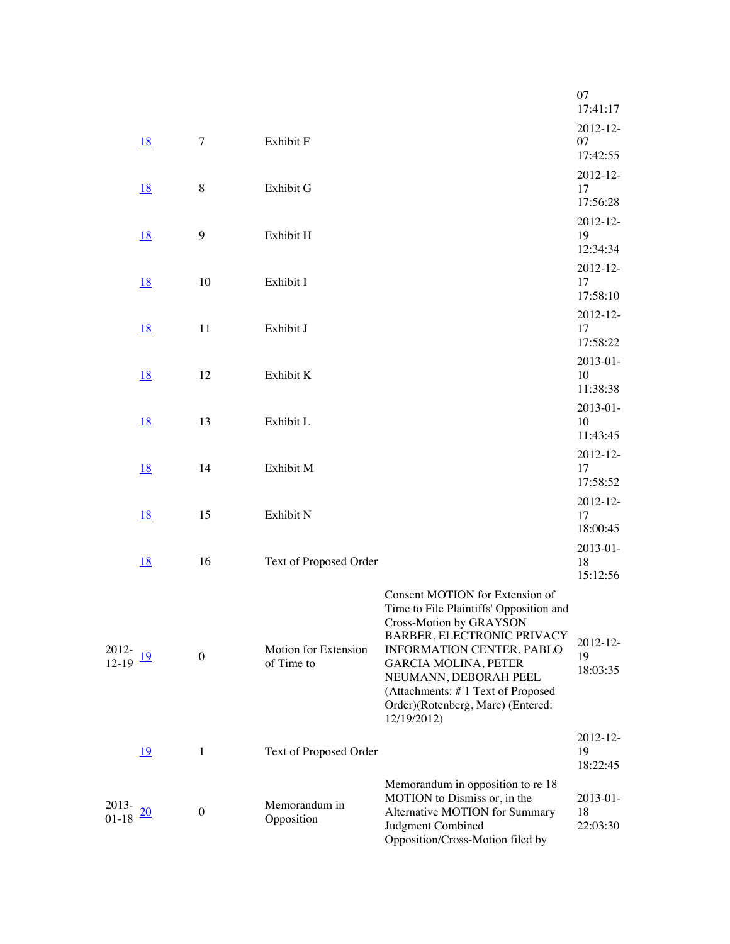|                |           |                  |                                    |                                                                                                                                                                                                                                                                                | 07<br>17:41:17                |
|----------------|-----------|------------------|------------------------------------|--------------------------------------------------------------------------------------------------------------------------------------------------------------------------------------------------------------------------------------------------------------------------------|-------------------------------|
|                | <u>18</u> | $\tau$           | Exhibit F                          |                                                                                                                                                                                                                                                                                | 2012-12-<br>07<br>17:42:55    |
|                | <u>18</u> | 8                | Exhibit G                          |                                                                                                                                                                                                                                                                                | 2012-12-<br>17<br>17:56:28    |
|                | <u>18</u> | 9                | Exhibit H                          |                                                                                                                                                                                                                                                                                | 2012-12-<br>19<br>12:34:34    |
|                | <u>18</u> | 10               | Exhibit I                          |                                                                                                                                                                                                                                                                                | 2012-12-<br>17<br>17:58:10    |
|                | <u>18</u> | 11               | Exhibit J                          |                                                                                                                                                                                                                                                                                | 2012-12-<br>17                |
|                | <u>18</u> | 12               | Exhibit K                          |                                                                                                                                                                                                                                                                                | 17:58:22<br>2013-01-<br>10    |
|                | <u>18</u> | 13               | Exhibit L                          |                                                                                                                                                                                                                                                                                | 11:38:38<br>2013-01-<br>10    |
|                | <u>18</u> | 14               | Exhibit M                          |                                                                                                                                                                                                                                                                                | 11:43:45<br>2012-12-<br>17    |
|                | <u>18</u> | 15               | Exhibit N                          |                                                                                                                                                                                                                                                                                | 17:58:52<br>2012-12-<br>17    |
|                | <u>18</u> | 16               | Text of Proposed Order             |                                                                                                                                                                                                                                                                                | 18:00:45<br>2013-01-<br>18    |
|                |           |                  |                                    | Consent MOTION for Extension of                                                                                                                                                                                                                                                | 15:12:56                      |
| 2012-<br>12-19 | 19        | $\boldsymbol{0}$ | Motion for Extension<br>of Time to | Time to File Plaintiffs' Opposition and<br>Cross-Motion by GRAYSON<br>BARBER, ELECTRONIC PRIVACY<br>INFORMATION CENTER, PABLO<br><b>GARCIA MOLINA, PETER</b><br>NEUMANN, DEBORAH PEEL<br>(Attachments: #1 Text of Proposed<br>Order)(Rotenberg, Marc) (Entered:<br>12/19/2012) | 2012-12-<br>19<br>18:03:35    |
|                | <u>19</u> | $\mathbf{1}$     | Text of Proposed Order             |                                                                                                                                                                                                                                                                                | $2012 - 12$<br>19<br>18:22:45 |
| 2013-<br>01-18 | 20        | $\boldsymbol{0}$ | Memorandum in<br>Opposition        | Memorandum in opposition to re 18<br>MOTION to Dismiss or, in the<br>Alternative MOTION for Summary<br>Judgment Combined<br>Opposition/Cross-Motion filed by                                                                                                                   | 2013-01-<br>18<br>22:03:30    |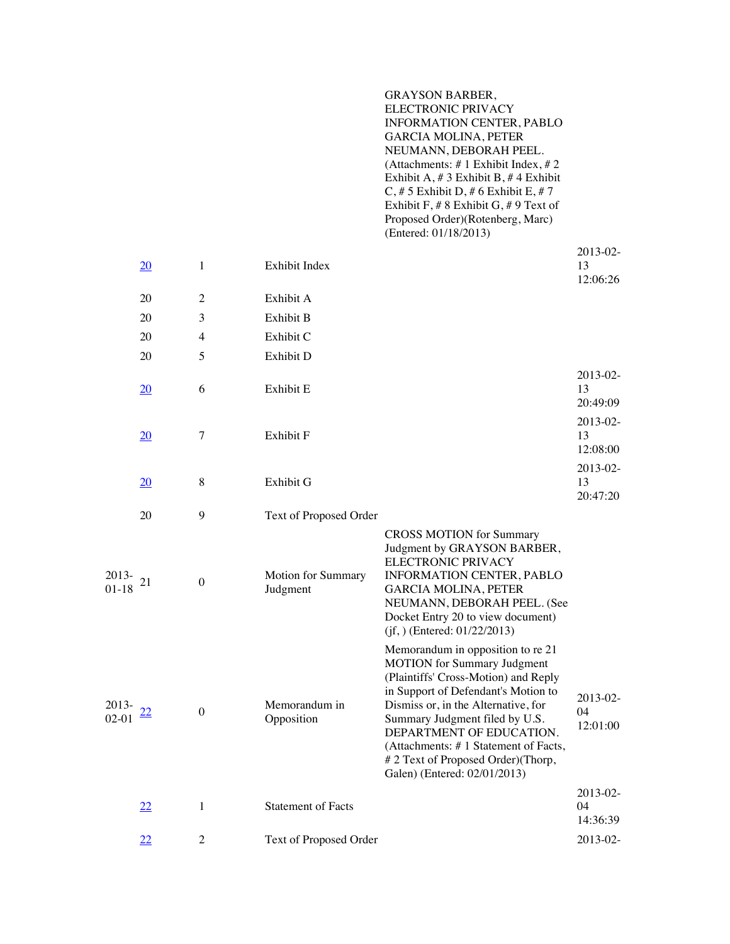GRAYSON BARBER, ELECTRONIC PRIVACY INFORMATION CENTER, PABLO GARCIA MOLINA, PETER NEUMANN, DEBORAH PEEL. (Attachments: # 1 Exhibit Index, # 2 Exhibit A, # 3 Exhibit B, # 4 Exhibit C, # 5 Exhibit D, # 6 Exhibit E, # 7 Exhibit F, # 8 Exhibit G, # 9 Text of Proposed Order)(Rotenberg, Marc) (Entered: 01/18/2013)

|                  | $\overline{20}$ | $\mathbf{1}$     | Exhibit Index                  |                                                                                                                                                                                                                                                                                                                                                                           | 2013-02-<br>13<br>12:06:26 |
|------------------|-----------------|------------------|--------------------------------|---------------------------------------------------------------------------------------------------------------------------------------------------------------------------------------------------------------------------------------------------------------------------------------------------------------------------------------------------------------------------|----------------------------|
|                  | 20              | $\overline{2}$   | Exhibit A                      |                                                                                                                                                                                                                                                                                                                                                                           |                            |
|                  | 20              | 3                | Exhibit B                      |                                                                                                                                                                                                                                                                                                                                                                           |                            |
|                  | 20              | 4                | Exhibit C                      |                                                                                                                                                                                                                                                                                                                                                                           |                            |
|                  | 20              | 5                | Exhibit D                      |                                                                                                                                                                                                                                                                                                                                                                           |                            |
|                  | 20              | 6                | Exhibit E                      |                                                                                                                                                                                                                                                                                                                                                                           | 2013-02-<br>13<br>20:49:09 |
|                  | 20              | 7                | Exhibit F                      |                                                                                                                                                                                                                                                                                                                                                                           | 2013-02-<br>13<br>12:08:00 |
|                  | 20              | 8                | Exhibit G                      |                                                                                                                                                                                                                                                                                                                                                                           | 2013-02-<br>13<br>20:47:20 |
|                  | 20              | 9                | Text of Proposed Order         |                                                                                                                                                                                                                                                                                                                                                                           |                            |
| 2013-<br>01-18   | 21              | $\boldsymbol{0}$ | Motion for Summary<br>Judgment | <b>CROSS MOTION</b> for Summary<br>Judgment by GRAYSON BARBER,<br><b>ELECTRONIC PRIVACY</b><br><b>INFORMATION CENTER, PABLO</b><br><b>GARCIA MOLINA, PETER</b><br>NEUMANN, DEBORAH PEEL. (See<br>Docket Entry 20 to view document)<br>$(jf, )$ (Entered: 01/22/2013)                                                                                                      |                            |
| 2013-<br>$02-01$ | $\overline{22}$ | $\boldsymbol{0}$ | Memorandum in<br>Opposition    | Memorandum in opposition to re 21<br><b>MOTION</b> for Summary Judgment<br>(Plaintiffs' Cross-Motion) and Reply<br>in Support of Defendant's Motion to<br>Dismiss or, in the Alternative, for<br>Summary Judgment filed by U.S.<br>DEPARTMENT OF EDUCATION.<br>(Attachments: #1 Statement of Facts,<br># 2 Text of Proposed Order)(Thorp,<br>Galen) (Entered: 02/01/2013) | 2013-02-<br>04<br>12:01:00 |
|                  | 22              | $\mathbf{1}$     | <b>Statement of Facts</b>      |                                                                                                                                                                                                                                                                                                                                                                           | 2013-02-<br>04<br>14:36:39 |
|                  | 22              | $\overline{2}$   | Text of Proposed Order         |                                                                                                                                                                                                                                                                                                                                                                           | 2013-02-                   |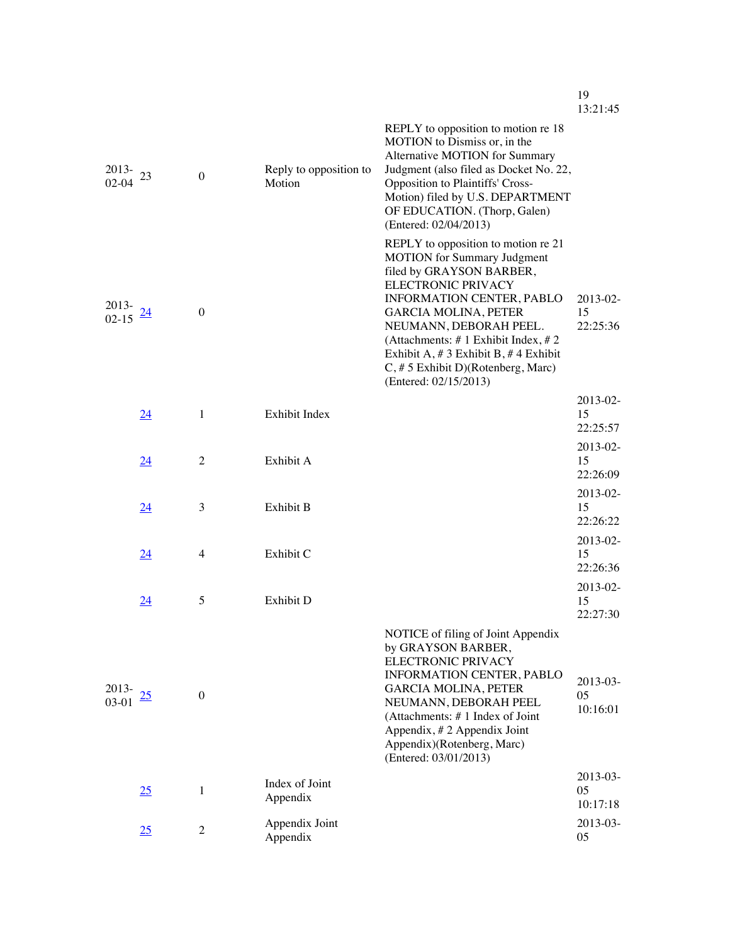| 2013-<br>$02 - 04$ | 23 | $\boldsymbol{0}$ | Reply to opposition to<br>Motion | REPLY to opposition to motion re 18<br>MOTION to Dismiss or, in the<br>Alternative MOTION for Summary<br>Judgment (also filed as Docket No. 22,<br>Opposition to Plaintiffs' Cross-<br>Motion) filed by U.S. DEPARTMENT<br>OF EDUCATION. (Thorp, Galen)<br>(Entered: 02/04/2013)                                                                                              |                            |
|--------------------|----|------------------|----------------------------------|-------------------------------------------------------------------------------------------------------------------------------------------------------------------------------------------------------------------------------------------------------------------------------------------------------------------------------------------------------------------------------|----------------------------|
| 2013-<br>$02 - 15$ |    | $\boldsymbol{0}$ |                                  | REPLY to opposition to motion re 21<br><b>MOTION</b> for Summary Judgment<br>filed by GRAYSON BARBER,<br>ELECTRONIC PRIVACY<br><b>INFORMATION CENTER, PABLO</b><br><b>GARCIA MOLINA, PETER</b><br>NEUMANN, DEBORAH PEEL.<br>(Attachments: #1 Exhibit Index, #2<br>Exhibit A, $# 3$ Exhibit B, $# 4$ Exhibit<br>$C, \# 5$ Exhibit D)(Rotenberg, Marc)<br>(Entered: 02/15/2013) | 2013-02-<br>15<br>22:25:36 |
|                    | 24 | 1                | Exhibit Index                    |                                                                                                                                                                                                                                                                                                                                                                               | 2013-02-<br>15<br>22:25:57 |
|                    | 24 | $\overline{2}$   | Exhibit A                        |                                                                                                                                                                                                                                                                                                                                                                               | 2013-02-<br>15<br>22:26:09 |
|                    | 24 | 3                | Exhibit B                        |                                                                                                                                                                                                                                                                                                                                                                               | 2013-02-<br>15<br>22:26:22 |
|                    | 24 | $\overline{4}$   | Exhibit C                        |                                                                                                                                                                                                                                                                                                                                                                               | 2013-02-<br>15<br>22:26:36 |
|                    | 24 | 5                | Exhibit D                        |                                                                                                                                                                                                                                                                                                                                                                               | 2013-02-<br>15<br>22:27:30 |
| 2013-<br>03-01     |    | $\mathbf{0}$     |                                  | NOTICE of filing of Joint Appendix<br>by GRAYSON BARBER,<br>ELECTRONIC PRIVACY<br><b>INFORMATION CENTER, PABLO</b><br><b>GARCIA MOLINA, PETER</b><br>NEUMANN, DEBORAH PEEL<br>(Attachments: #1 Index of Joint<br>Appendix, #2 Appendix Joint<br>Appendix)(Rotenberg, Marc)<br>(Entered: 03/01/2013)                                                                           | 2013-03-<br>05<br>10:16:01 |
|                    | 25 | $\mathbf{1}$     | Index of Joint<br>Appendix       |                                                                                                                                                                                                                                                                                                                                                                               | 2013-03-<br>05<br>10:17:18 |
|                    | 25 | 2                | Appendix Joint<br>Appendix       |                                                                                                                                                                                                                                                                                                                                                                               | 2013-03-<br>05             |